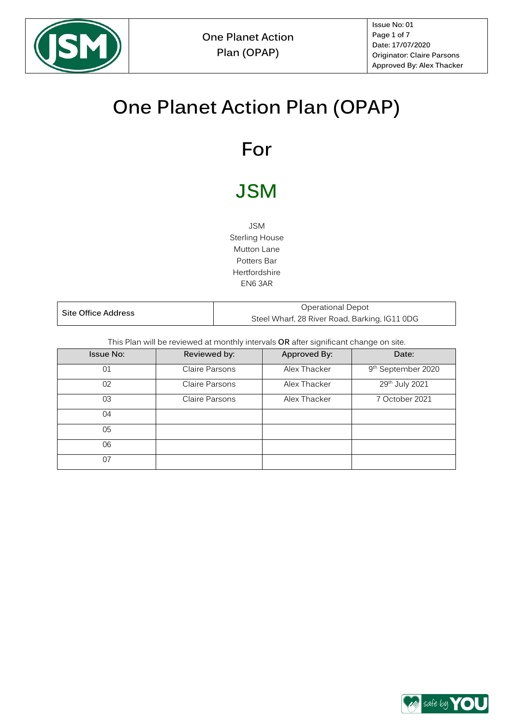

**Issue No: 01 Page 1 of 7 Date: 17/07/2020 Originator: Claire Parsons Approved By: Alex Thacker**

# **One Planet Action Plan (OPAP)**

# **For**

# **JSM**

JSM Sterling House Mutton Lane Potters Bar Hertfordshire EN6 3AR

| Site Office Address | Operational Depot                             |  |
|---------------------|-----------------------------------------------|--|
|                     | Steel Wharf, 28 River Road, Barking, IG11 0DG |  |

This Plan will be reviewed at monthly intervals **OR** after significant change on site.

| <b>Issue No:</b> | Reviewed by:   | Approved By: | Date:                          |
|------------------|----------------|--------------|--------------------------------|
| 01               | Claire Parsons | Alex Thacker | 9 <sup>th</sup> September 2020 |
| 02               | Claire Parsons | Alex Thacker | 29th July 2021                 |
| 03               | Claire Parsons | Alex Thacker | 7 October 2021                 |
| 04               |                |              |                                |
| 05               |                |              |                                |
| 06               |                |              |                                |
| 07               |                |              |                                |

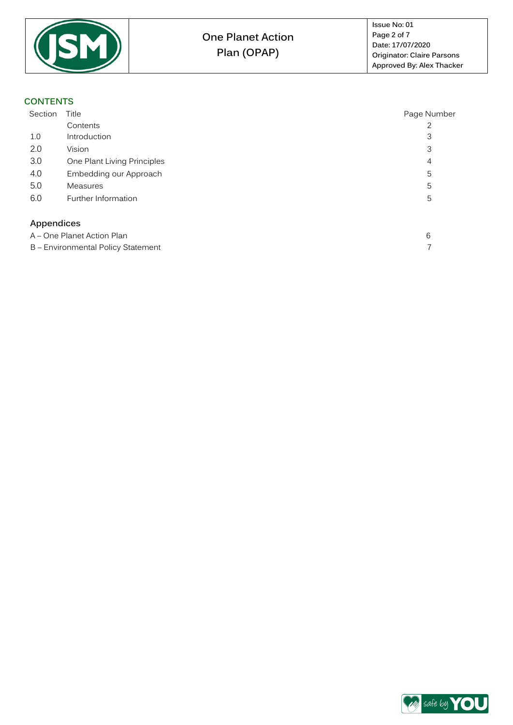

#### **CONTENTS**

<span id="page-1-0"></span>

| Section                            | Title                       | Page Number |
|------------------------------------|-----------------------------|-------------|
|                                    | Contents                    |             |
| 1.0                                | Introduction                | 3           |
| 2.0                                | Vision                      | 3           |
| 3.0                                | One Plant Living Principles | 4           |
| 4.0                                | Embedding our Approach      | 5           |
| 5.0                                | <b>Measures</b>             | 5           |
| 6.0                                | Further Information         | 5           |
| Appendices                         |                             |             |
| A - One Planet Action Plan         |                             | 6           |
| B - Environmental Policy Statement |                             |             |

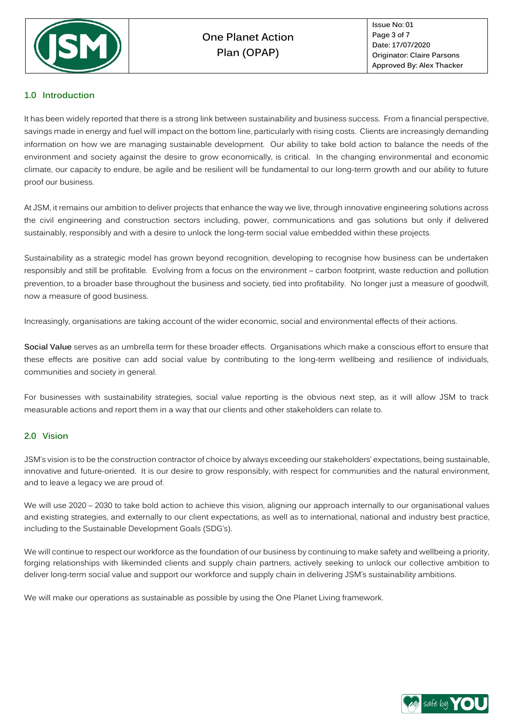

#### **1.0 Introduction**

It has been widely reported that there is a strong link between sustainability and business success. From a financial perspective, savings made in energy and fuel will impact on the bottom line, particularly with rising costs. Clients are increasingly demanding information on how we are managing sustainable development. Our ability to take bold action to balance the needs of the environment and society against the desire to grow economically, is critical. In the changing environmental and economic climate, our capacity to endure, be agile and be resilient will be fundamental to our long-term growth and our ability to future proof our business.

At JSM, it remains our ambition to deliver projects that enhance the way we live, through innovative engineering solutions across the civil engineering and construction sectors including, power, communications and gas solutions but only if delivered sustainably, responsibly and with a desire to unlock the long-term social value embedded within these projects.

Sustainability as a strategic model has grown beyond recognition, developing to recognise how business can be undertaken responsibly and still be profitable. Evolving from a focus on the environment – carbon footprint, waste reduction and pollution prevention, to a broader base throughout the business and society, tied into profitability. No longer just a measure of goodwill, now a measure of good business.

Increasingly, organisations are taking account of the wider economic, social and environmental effects of their actions.

**Social Value** serves as an umbrella term for these broader effects. Organisations which make a conscious effort to ensure that these effects are positive can add social value by contributing to the long-term wellbeing and resilience of individuals, communities and society in general.

For businesses with sustainability strategies, social value reporting is the obvious next step, as it will allow JSM to track measurable actions and report them in a way that our clients and other stakeholders can relate to.

#### **2.0 Vision**

JSM's vision is to be the construction contractor of choice by always exceeding our stakeholders' expectations, being sustainable, innovative and future-oriented. It is our desire to grow responsibly, with respect for communities and the natural environment, and to leave a legacy we are proud of.

We will use 2020 – 2030 to take bold action to achieve this vision, aligning our approach internally to our organisational values and existing strategies, and externally to our client expectations, as well as to international, national and industry best practice, including to the Sustainable Development Goals (SDG's).

We will continue to respect our workforce as the foundation of our business by continuing to make safety and wellbeing a priority, forging relationships with likeminded clients and supply chain partners, actively seeking to unlock our collective ambition to deliver long-term social value and support our workforce and supply chain in delivering JSM's sustainability ambitions.

We will make our operations as sustainable as possible by using the One Planet Living framework.

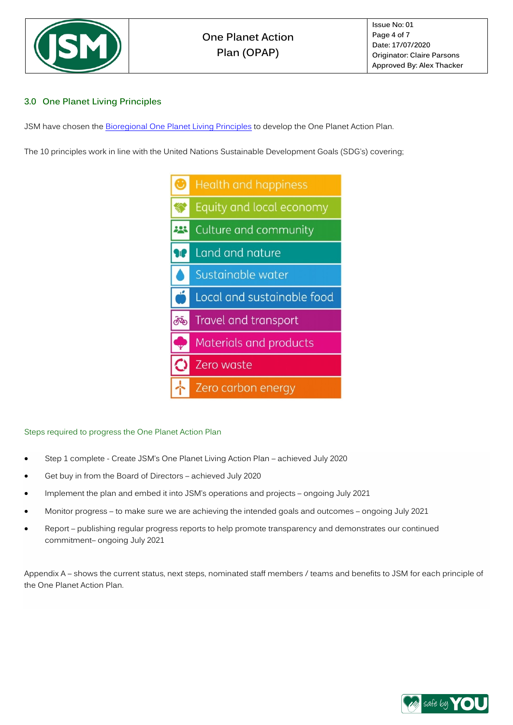

#### **3.0 One Planet Living Principles**

JSM have chosen th[e Bioregional One Planet Living Principles](https://www.bioregional.com/one-planet-living) to develop the One Planet Action Plan.

The 10 principles work in line with the United Nations Sustainable Development Goals (SDG's) covering;



#### Steps required to progress the One Planet Action Plan

- Step 1 complete Create JSM's One Planet Living Action Plan achieved July 2020
- Get buy in from the Board of Directors achieved July 2020
- Implement the plan and embed it into JSM's operations and projects ongoing July 2021
- Monitor progress to make sure we are achieving the intended goals and outcomes ongoing July 2021
- Report publishing regular progress reports to help promote transparency and demonstrates our continued commitment– ongoing July 2021

Appendix A – shows the current status, next steps, nominated staff members / teams and benefits to JSM for each principle of the One Planet Action Plan.

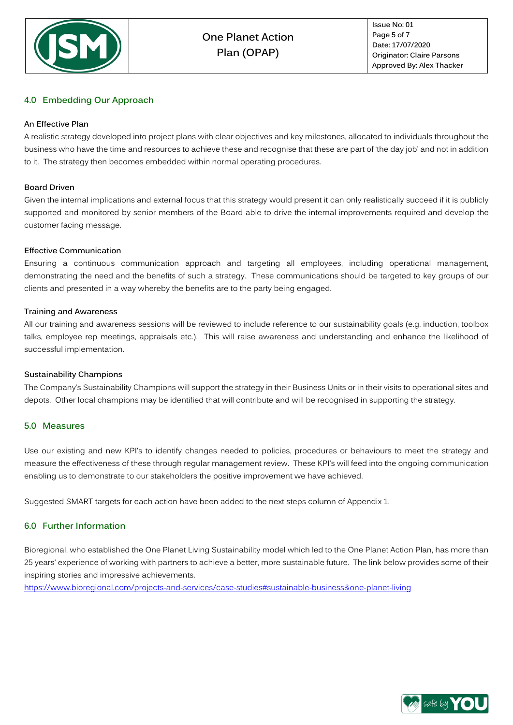

#### **4.0 Embedding Our Approach**

#### **An Effective Plan**

A realistic strategy developed into project plans with clear objectives and key milestones, allocated to individuals throughout the business who have the time and resources to achieve these and recognise that these are part of 'the day job' and not in addition to it. The strategy then becomes embedded within normal operating procedures.

#### **Board Driven**

Given the internal implications and external focus that this strategy would present it can only realistically succeed if it is publicly supported and monitored by senior members of the Board able to drive the internal improvements required and develop the customer facing message.

#### **Effective Communication**

Ensuring a continuous communication approach and targeting all employees, including operational management, demonstrating the need and the benefits of such a strategy. These communications should be targeted to key groups of our clients and presented in a way whereby the benefits are to the party being engaged.

#### **Training and Awareness**

All our training and awareness sessions will be reviewed to include reference to our sustainability goals (e.g. induction, toolbox talks, employee rep meetings, appraisals etc.). This will raise awareness and understanding and enhance the likelihood of successful implementation.

#### **Sustainability Champions**

The Company's Sustainability Champions will support the strategy in their Business Units or in their visits to operational sites and depots. Other local champions may be identified that will contribute and will be recognised in supporting the strategy.

#### **5.0 Measures**

Use our existing and new KPI's to identify changes needed to policies, procedures or behaviours to meet the strategy and measure the effectiveness of these through regular management review. These KPI's will feed into the ongoing communication enabling us to demonstrate to our stakeholders the positive improvement we have achieved.

Suggested SMART targets for each action have been added to the next steps column of Appendix 1.

#### **6.0 Further Information**

Bioregional, who established the One Planet Living Sustainability model which led to the One Planet Action Plan, has more than 25 years' experience of working with partners to achieve a better, more sustainable future. The link below provides some of their inspiring stories and impressive achievements.

<https://www.bioregional.com/projects-and-services/case-studies#sustainable-business&one-planet-living>

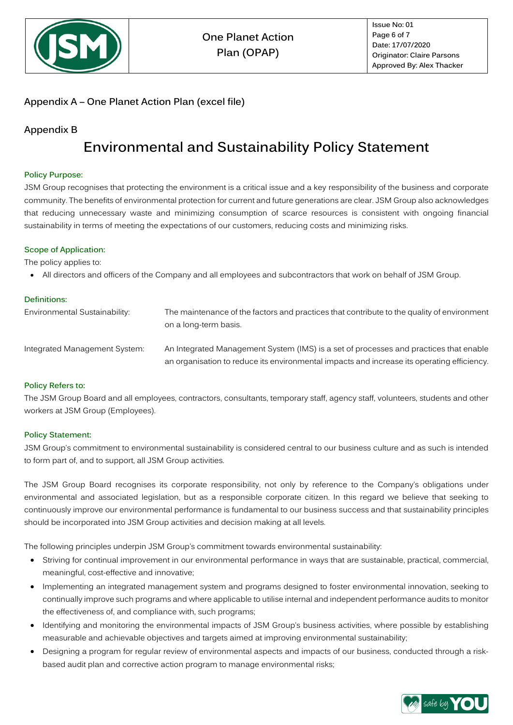

### <span id="page-5-0"></span>**Appendix A – One Planet Action Plan (excel file)**

### **Appendix B**

## **Environmental and Sustainability Policy Statement**

#### **Policy Purpose:**

JSM Group recognises that protecting the environment is a critical issue and a key responsibility of the business and corporate community. The benefits of environmental protection for current and future generations are clear. JSM Group also acknowledges that reducing unnecessary waste and minimizing consumption of scarce resources is consistent with ongoing financial sustainability in terms of meeting the expectations of our customers, reducing costs and minimizing risks.

#### **Scope of Application:**

The policy applies to:

• All directors and officers of the Company and all employees and subcontractors that work on behalf of JSM Group.

| Definitions:                  |                                                                                                                                                                                     |
|-------------------------------|-------------------------------------------------------------------------------------------------------------------------------------------------------------------------------------|
| Environmental Sustainability: | The maintenance of the factors and practices that contribute to the quality of environment<br>on a long-term basis.                                                                 |
| Integrated Management System: | An Integrated Management System (IMS) is a set of processes and practices that enable<br>an organisation to reduce its environmental impacts and increase its operating efficiency. |

#### **Policy Refers to:**

The JSM Group Board and all employees, contractors, consultants, temporary staff, agency staff, volunteers, students and other workers at JSM Group (Employees).

#### **Policy Statement:**

JSM Group's commitment to environmental sustainability is considered central to our business culture and as such is intended to form part of, and to support, all JSM Group activities.

The JSM Group Board recognises its corporate responsibility, not only by reference to the Company's obligations under environmental and associated legislation, but as a responsible corporate citizen. In this regard we believe that seeking to continuously improve our environmental performance is fundamental to our business success and that sustainability principles should be incorporated into JSM Group activities and decision making at all levels.

The following principles underpin JSM Group's commitment towards environmental sustainability:

- Striving for continual improvement in our environmental performance in ways that are sustainable, practical, commercial, meaningful, cost-effective and innovative;
- Implementing an integrated management system and programs designed to foster environmental innovation, seeking to continually improve such programs and where applicable to utilise internal and independent performance audits to monitor the effectiveness of, and compliance with, such programs;
- Identifying and monitoring the environmental impacts of JSM Group's business activities, where possible by establishing measurable and achievable objectives and targets aimed at improving environmental sustainability;
- Designing a program for regular review of environmental aspects and impacts of our business, conducted through a riskbased audit plan and corrective action program to manage environmental risks;